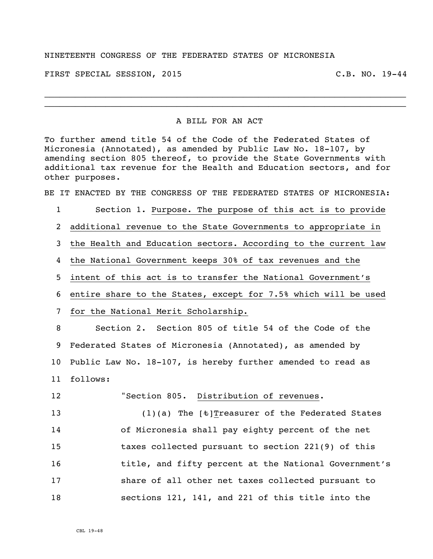## NINETEENTH CONGRESS OF THE FEDERATED STATES OF MICRONESIA

FIRST SPECIAL SESSION, 2015 C.B. NO. 19-44

## A BILL FOR AN ACT

 $\_$ \_\_\_\_\_\_\_\_\_\_\_\_\_\_\_\_\_\_\_\_\_\_\_\_\_\_\_\_\_\_\_\_\_\_\_\_\_\_\_\_\_\_\_\_\_\_\_\_\_\_\_\_\_\_\_\_\_\_\_\_\_\_\_\_\_\_\_\_\_\_\_

To further amend title 54 of the Code of the Federated States of Micronesia (Annotated), as amended by Public Law No. 18-107, by amending section 805 thereof, to provide the State Governments with additional tax revenue for the Health and Education sectors, and for other purposes.

BE IT ENACTED BY THE CONGRESS OF THE FEDERATED STATES OF MICRONESIA:

- 1 Section 1. Purpose. The purpose of this act is to provide
- 2 additional revenue to the State Governments to appropriate in
- 3 the Health and Education sectors. According to the current law
- 4 the National Government keeps 30% of tax revenues and the
- 5 intent of this act is to transfer the National Government's
- 6 entire share to the States, except for 7.5% which will be used
- 7 for the National Merit Scholarship.

 Section 2. Section 805 of title 54 of the Code of the Federated States of Micronesia (Annotated), as amended by Public Law No. 18-107, is hereby further amended to read as 11 follows:

12 "Section 805. Distribution of revenues.

 (1)(a) The [t]Treasurer of the Federated States of Micronesia shall pay eighty percent of the net taxes collected pursuant to section 221(9) of this title, and fifty percent at the National Government's share of all other net taxes collected pursuant to sections 121, 141, and 221 of this title into the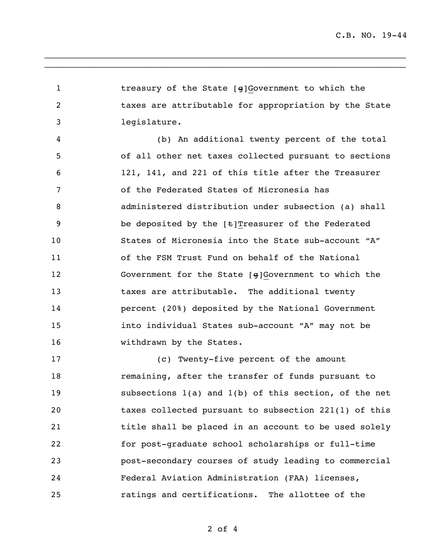treasury of the State [g]Government to which the taxes are attributable for appropriation by the State legislature. (b) An additional twenty percent of the total of all other net taxes collected pursuant to sections 121, 141, and 221 of this title after the Treasurer of the Federated States of Micronesia has administered distribution under subsection (a) shall 9 be deposited by the [ $\pm$ ]Treasurer of the Federated States of Micronesia into the State sub-account "A" of the FSM Trust Fund on behalf of the National Government for the State [g]Government to which the taxes are attributable. The additional twenty percent (20%) deposited by the National Government into individual States sub-account "A" may not be 16 withdrawn by the States. (c) Twenty-five percent of the amount **remaining, after the transfer of funds pursuant to**  subsections 1(a) and 1(b) of this section, of the net taxes collected pursuant to subsection 221(1) of this 21 title shall be placed in an account to be used solely for post-graduate school scholarships or full-time post-secondary courses of study leading to commercial Federal Aviation Administration (FAA) licenses, ratings and certifications. The allottee of the

 $\_$  $\_$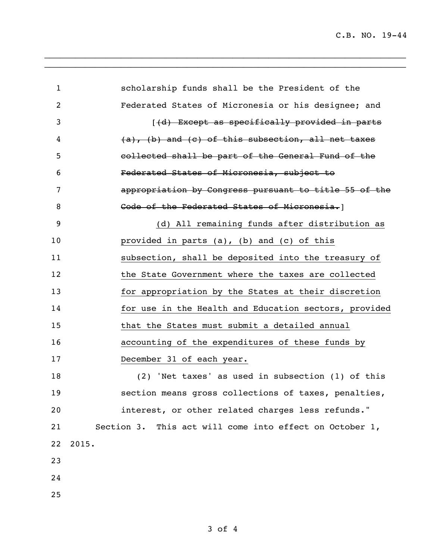| $\mathbf{1}$   |       | scholarship funds shall be the President of the         |
|----------------|-------|---------------------------------------------------------|
| $\overline{c}$ |       | Federated States of Micronesia or his designee; and     |
| 3              |       | [(d) Except as specifically provided in parts           |
| 4              |       | $(a)$ , (b) and (c) of this subsection, all net taxes   |
| 5              |       | collected shall be part of the General Fund of the      |
| 6              |       | Federated States of Micronesia, subject to              |
| 7              |       | appropriation by Congress pursuant to title 55 of the   |
| 8              |       | Code of the Federated States of Micronesia. [           |
| 9              |       | (d) All remaining funds after distribution as           |
| 10             |       | provided in parts $(a)$ , $(b)$ and $(c)$ of this       |
| 11             |       | subsection, shall be deposited into the treasury of     |
| 12             |       | the State Government where the taxes are collected      |
| 13             |       | for appropriation by the States at their discretion     |
| 14             |       | for use in the Health and Education sectors, provided   |
| 15             |       | that the States must submit a detailed annual           |
| 16             |       | accounting of the expenditures of these funds by        |
| 17             |       | December 31 of each year.                               |
| 18             |       | (2) 'Net taxes' as used in subsection (1) of this       |
| 19             |       | section means gross collections of taxes, penalties,    |
| 20             |       | interest, or other related charges less refunds."       |
| 21             |       | Section 3. This act will come into effect on October 1, |
| 22             | 2015. |                                                         |
| 23             |       |                                                         |
| 24             |       |                                                         |
| 25             |       |                                                         |
|                |       |                                                         |

 $\_$  $\_$